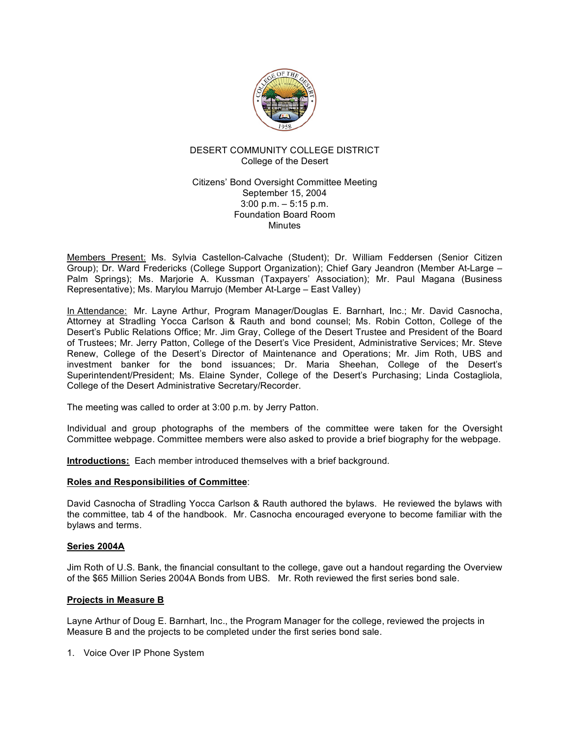

# DESERT COMMUNITY COLLEGE DISTRICT College of the Desert

Citizens' Bond Oversight Committee Meeting September 15, 2004 3:00 p.m. – 5:15 p.m. Foundation Board Room Minutes

Members Present: Ms. Sylvia Castellon-Calvache (Student); Dr. William Feddersen (Senior Citizen Group); Dr. Ward Fredericks (College Support Organization); Chief Gary Jeandron (Member At-Large – Palm Springs); Ms. Marjorie A. Kussman (Taxpayers' Association); Mr. Paul Magana (Business Representative); Ms. Marylou Marrujo (Member At-Large – East Valley)

In Attendance: Mr. Layne Arthur, Program Manager/Douglas E. Barnhart, Inc.; Mr. David Casnocha, Attorney at Stradling Yocca Carlson & Rauth and bond counsel; Ms. Robin Cotton, College of the Desert's Public Relations Office; Mr. Jim Gray, College of the Desert Trustee and President of the Board of Trustees; Mr. Jerry Patton, College of the Desert's Vice President, Administrative Services; Mr. Steve Renew, College of the Desert's Director of Maintenance and Operations; Mr. Jim Roth, UBS and investment banker for the bond issuances; Dr. Maria Sheehan, College of the Desert's Superintendent/President; Ms. Elaine Synder, College of the Desert's Purchasing; Linda Costagliola, College of the Desert Administrative Secretary/Recorder.

The meeting was called to order at 3:00 p.m. by Jerry Patton.

Individual and group photographs of the members of the committee were taken for the Oversight Committee webpage. Committee members were also asked to provide a brief biography for the webpage.

**Introductions:** Each member introduced themselves with a brief background.

## **Roles and Responsibilities of Committee**:

David Casnocha of Stradling Yocca Carlson & Rauth authored the bylaws. He reviewed the bylaws with the committee, tab 4 of the handbook. Mr. Casnocha encouraged everyone to become familiar with the bylaws and terms.

## **Series 2004A**

Jim Roth of U.S. Bank, the financial consultant to the college, gave out a handout regarding the Overview of the \$65 Million Series 2004A Bonds from UBS. Mr. Roth reviewed the first series bond sale.

### **Projects in Measure B**

Layne Arthur of Doug E. Barnhart, Inc., the Program Manager for the college, reviewed the projects in Measure B and the projects to be completed under the first series bond sale.

1. Voice Over IP Phone System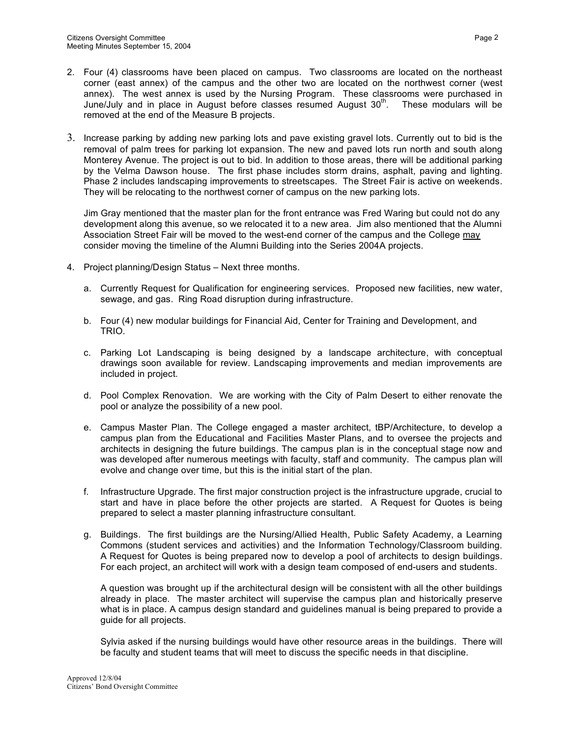- 2. Four (4) classrooms have been placed on campus. Two classrooms are located on the northeast corner (east annex) of the campus and the other two are located on the northwest corner (west annex). The west annex is used by the Nursing Program. These classrooms were purchased in June/July and in place in August before classes resumed August  $30<sup>th</sup>$ . . These modulars will be removed at the end of the Measure B projects.
- 3. Increase parking by adding new parking lots and pave existing gravel lots. Currently out to bid is the removal of palm trees for parking lot expansion. The new and paved lots run north and south along Monterey Avenue. The project is out to bid. In addition to those areas, there will be additional parking by the Velma Dawson house. The first phase includes storm drains, asphalt, paving and lighting. Phase 2 includes landscaping improvements to streetscapes. The Street Fair is active on weekends. They will be relocating to the northwest corner of campus on the new parking lots.

Jim Gray mentioned that the master plan for the front entrance was Fred Waring but could not do any development along this avenue, so we relocated it to a new area. Jim also mentioned that the Alumni Association Street Fair will be moved to the west-end corner of the campus and the College may consider moving the timeline of the Alumni Building into the Series 2004A projects.

- 4. Project planning/Design Status Next three months.
	- a. Currently Request for Qualification for engineering services. Proposed new facilities, new water, sewage, and gas. Ring Road disruption during infrastructure.
	- b. Four (4) new modular buildings for Financial Aid, Center for Training and Development, and TRIO.
	- c. Parking Lot Landscaping is being designed by a landscape architecture, with conceptual drawings soon available for review. Landscaping improvements and median improvements are included in project.
	- d. Pool Complex Renovation. We are working with the City of Palm Desert to either renovate the pool or analyze the possibility of a new pool.
	- e. Campus Master Plan. The College engaged a master architect, tBP/Architecture, to develop a campus plan from the Educational and Facilities Master Plans, and to oversee the projects and architects in designing the future buildings. The campus plan is in the conceptual stage now and was developed after numerous meetings with faculty, staff and community. The campus plan will evolve and change over time, but this is the initial start of the plan.
	- f. Infrastructure Upgrade. The first major construction project is the infrastructure upgrade, crucial to start and have in place before the other projects are started. A Request for Quotes is being prepared to select a master planning infrastructure consultant.
	- g. Buildings. The first buildings are the Nursing/Allied Health, Public Safety Academy, a Learning Commons (student services and activities) and the Information Technology/Classroom building. A Request for Quotes is being prepared now to develop a pool of architects to design buildings. For each project, an architect will work with a design team composed of end-users and students.

A question was brought up if the architectural design will be consistent with all the other buildings already in place. The master architect will supervise the campus plan and historically preserve what is in place. A campus design standard and guidelines manual is being prepared to provide a guide for all projects.

Sylvia asked if the nursing buildings would have other resource areas in the buildings. There will be faculty and student teams that will meet to discuss the specific needs in that discipline.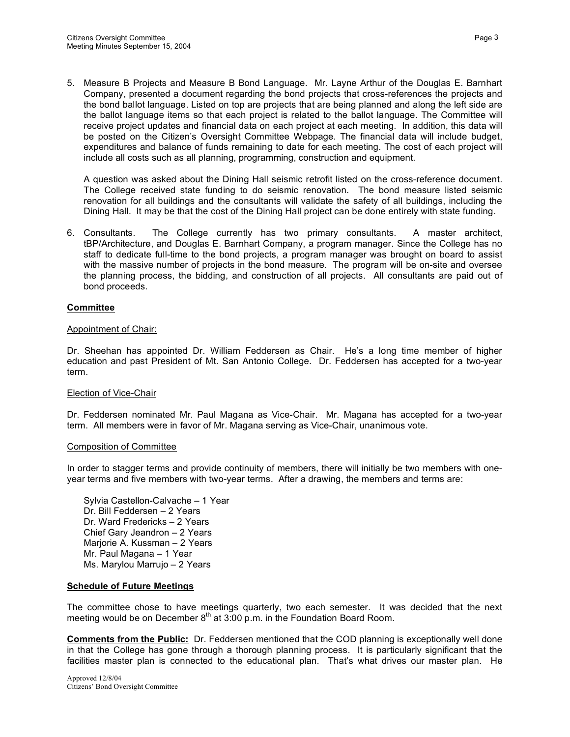5. Measure B Projects and Measure B Bond Language. Mr. Layne Arthur of the Douglas E. Barnhart Company, presented a document regarding the bond projects that cross-references the projects and the bond ballot language. Listed on top are projects that are being planned and along the left side are the ballot language items so that each project is related to the ballot language. The Committee will receive project updates and financial data on each project at each meeting. In addition, this data will be posted on the Citizen's Oversight Committee Webpage. The financial data will include budget, expenditures and balance of funds remaining to date for each meeting. The cost of each project will include all costs such as all planning, programming, construction and equipment.

A question was asked about the Dining Hall seismic retrofit listed on the cross-reference document. The College received state funding to do seismic renovation. The bond measure listed seismic renovation for all buildings and the consultants will validate the safety of all buildings, including the Dining Hall. It may be that the cost of the Dining Hall project can be done entirely with state funding.

6. Consultants. The College currently has two primary consultants. A master architect, tBP/Architecture, and Douglas E. Barnhart Company, a program manager. Since the College has no staff to dedicate full-time to the bond projects, a program manager was brought on board to assist with the massive number of projects in the bond measure. The program will be on-site and oversee the planning process, the bidding, and construction of all projects. All consultants are paid out of bond proceeds.

## **Committee**

### Appointment of Chair:

Dr. Sheehan has appointed Dr. William Feddersen as Chair. He's a long time member of higher education and past President of Mt. San Antonio College. Dr. Feddersen has accepted for a two-year term.

### Election of Vice-Chair

Dr. Feddersen nominated Mr. Paul Magana as Vice-Chair. Mr. Magana has accepted for a two-year term. All members were in favor of Mr. Magana serving as Vice-Chair, unanimous vote.

### Composition of Committee

In order to stagger terms and provide continuity of members, there will initially be two members with oneyear terms and five members with two-year terms. After a drawing, the members and terms are:

Sylvia Castellon-Calvache – 1 Year Dr. Bill Feddersen – 2 Years Dr. Ward Fredericks – 2 Years Chief Gary Jeandron – 2 Years Marjorie A. Kussman – 2 Years Mr. Paul Magana – 1 Year Ms. Marylou Marrujo – 2 Years

### **Schedule of Future Meetings**

The committee chose to have meetings quarterly, two each semester. It was decided that the next meeting would be on December  $8<sup>th</sup>$  at 3:00 p.m. in the Foundation Board Room.

**Comments from the Public:** Dr. Feddersen mentioned that the COD planning is exceptionally well done in that the College has gone through a thorough planning process. It is particularly significant that the facilities master plan is connected to the educational plan. That's what drives our master plan. He